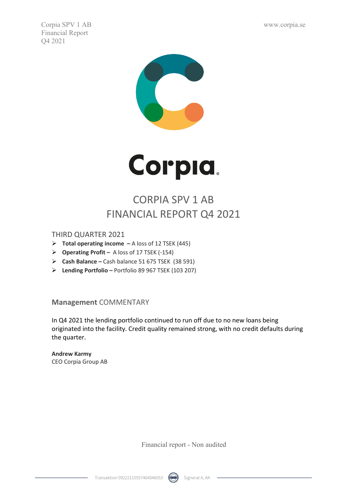Corpia SPV 1 AB www.corpia.se Financial Report Q4 2021





# CORPIA SPV 1 AB FINANCIAL REPORT Q4 2021

THIRD QUARTER 2021

- **Total operating income –** A loss of 12 TSEK (445)
- **Operating Profit –** A loss of 17 TSEK (-154)
- **Cash Balance –** Cash balance 51 675 TSEK (38 591)
- **Lending Portfolio –** Portfolio 89 967 TSEK (103 207)

**Management** COMMENTARY

In Q4 2021 the lending portfolio continued to run off due to no new loans being originated into the facility. Credit quality remained strong, with no credit defaults during the quarter.

**Andrew Karmy** CEO Corpia Group AB

Financial report - Non audited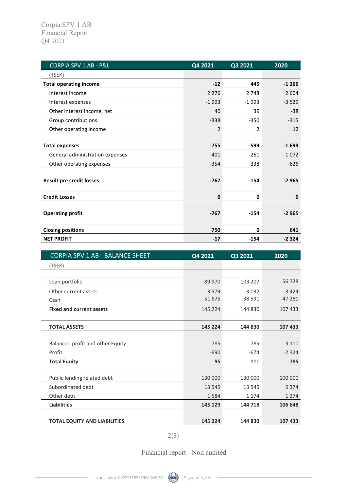| <b>CORPIA SPV 1 AB - P&amp;L</b> | Q4 2021        | Q3 2021        | 2020        |
|----------------------------------|----------------|----------------|-------------|
| (TSEK)                           |                |                |             |
| <b>Total operating income</b>    | $-12$          | 445            | $-1266$     |
| Interest income                  | 2 2 7 6        | 2 7 4 8        | 2 6 0 4     |
| Interest expenses                | $-1993$        | $-1993$        | $-3529$     |
| Other interest income, net       | 40             | 39             | $-38$       |
| Group contributions              | $-338$         | $-350$         | $-315$      |
| Other operating income           | $\overline{2}$ | $\overline{2}$ | 12          |
|                                  |                |                |             |
| <b>Total expenses</b>            | $-755$         | -599           | $-1699$     |
| General administration expenses  | $-401$         | $-261$         | $-1072$     |
| Other operating expenses         | $-354$         | $-338$         | $-626$      |
|                                  |                |                |             |
| <b>Result pre credit losses</b>  | $-767$         | $-154$         | $-2965$     |
|                                  |                |                |             |
| <b>Credit Losses</b>             | $\bf{0}$       | $\mathbf 0$    | $\mathbf 0$ |
|                                  |                |                |             |
| <b>Operating profit</b>          | $-767$         | $-154$         | $-2965$     |
|                                  |                |                |             |
| <b>Closing positions</b>         | 750            | 0              | 641         |
| <b>NET PROFIT</b>                | $-17$          | $-154$         | $-2324$     |

| <b>CORPIA SPV 1 AB - BALANCE SHEET</b> | Q4 2021 | Q3 2021 | 2020    |
|----------------------------------------|---------|---------|---------|
| (TSEK)                                 |         |         |         |
|                                        |         |         |         |
| Loan portfolio                         | 89 970  | 103 207 | 56 728  |
| Other current assets                   | 3579    | 3032    | 3 4 2 4 |
| Cash                                   | 51 675  | 38 5 91 | 47 281  |
| <b>Fixed and current assets</b>        | 145 224 | 144 830 | 107 433 |
|                                        |         |         |         |
| <b>TOTAL ASSETS</b>                    | 145 224 | 144 830 | 107 433 |
|                                        |         |         |         |
| Balanced profit and other Equity       | 785     | 785     | 3 1 1 0 |
| Profit                                 | $-690$  | $-674$  | $-2324$ |
| <b>Total Equity</b>                    | 95      | 111     | 785     |
|                                        |         |         |         |
| Public lending related debt            | 130 000 | 130 000 | 100 000 |
| Subordinated debt                      | 13 5 45 | 13 5 45 | 5 3 7 4 |
| Other debt                             | 1584    | 1 1 7 4 | 1 2 7 4 |
| <b>Liabilities</b>                     | 145 129 | 144 718 | 106 648 |
|                                        |         |         |         |
| <b>TOTAL EQUITY AND LIABILITIES</b>    | 145 224 | 144 830 | 107 433 |

2(3)

Financial report - Non audited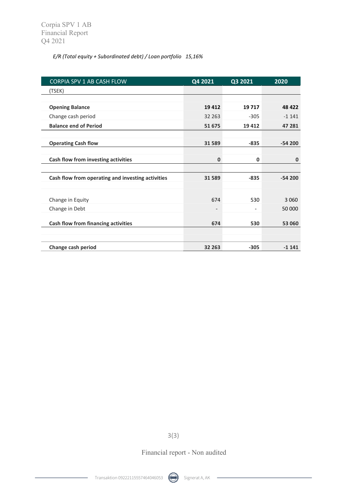#### *E/R (Total equity + Subordinated debt) / Loan portfolio 15,16%*

| CORPIA SPV 1 AB CASH FLOW                         | Q4 2021                  | Q3 2021                  | 2020     |
|---------------------------------------------------|--------------------------|--------------------------|----------|
| (TSEK)                                            |                          |                          |          |
|                                                   |                          |                          |          |
| <b>Opening Balance</b>                            | 19412                    | 19717                    | 48 422   |
| Change cash period                                | 32 2 63                  | $-305$                   | $-1141$  |
| <b>Balance end of Period</b>                      | 51 675                   | 19412                    | 47 281   |
|                                                   |                          |                          |          |
| <b>Operating Cash flow</b>                        | 31 589                   | $-835$                   | $-54200$ |
|                                                   |                          |                          |          |
| Cash flow from investing activities               | $\Omega$                 | $\mathbf 0$              | 0        |
|                                                   |                          |                          |          |
| Cash flow from operating and investing activities | 31 589                   | $-835$                   | $-54200$ |
|                                                   |                          |                          |          |
| Change in Equity                                  | 674                      | 530                      | 3 0 6 0  |
| Change in Debt                                    | $\overline{\phantom{0}}$ | $\overline{\phantom{a}}$ | 50 000   |
|                                                   |                          |                          |          |
| Cash flow from financing activities               | 674                      | 530                      | 53 060   |
|                                                   |                          |                          |          |
| Change cash period                                | 32 263                   | $-305$                   | $-1141$  |

3(3)

Financial report - Non audited